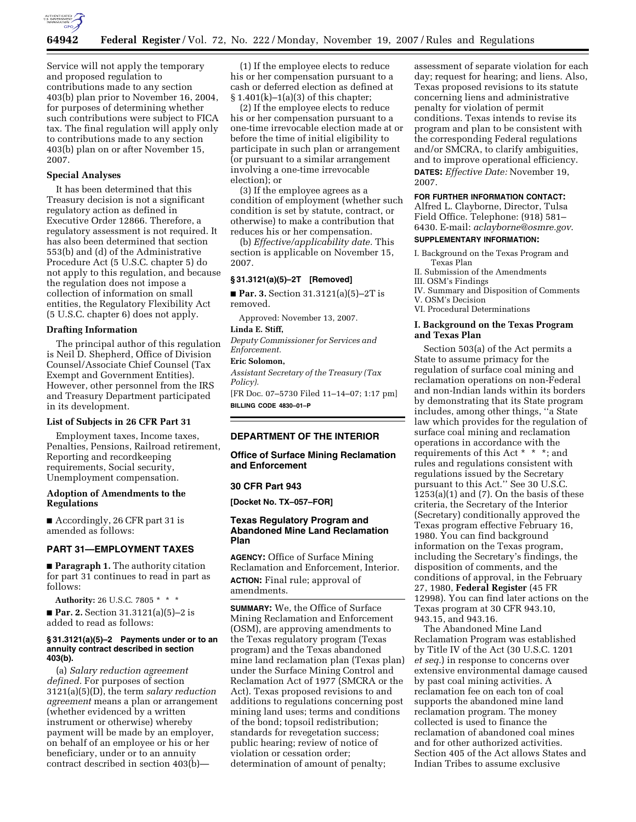

Service will not apply the temporary and proposed regulation to contributions made to any section 403(b) plan prior to November 16, 2004, for purposes of determining whether such contributions were subject to FICA tax. The final regulation will apply only to contributions made to any section 403(b) plan on or after November 15, 2007.

### **Special Analyses**

It has been determined that this Treasury decision is not a significant regulatory action as defined in Executive Order 12866. Therefore, a regulatory assessment is not required. It has also been determined that section 553(b) and (d) of the Administrative Procedure Act (5 U.S.C. chapter 5) do not apply to this regulation, and because the regulation does not impose a collection of information on small entities, the Regulatory Flexibility Act (5 U.S.C. chapter 6) does not apply.

### **Drafting Information**

The principal author of this regulation is Neil D. Shepherd, Office of Division Counsel/Associate Chief Counsel (Tax Exempt and Government Entities). However, other personnel from the IRS and Treasury Department participated in its development.

#### **List of Subjects in 26 CFR Part 31**

Employment taxes, Income taxes, Penalties, Pensions, Railroad retirement, Reporting and recordkeeping requirements, Social security, Unemployment compensation.

### **Adoption of Amendments to the Regulations**

■ Accordingly, 26 CFR part 31 is amended as follows:

### **PART 31—EMPLOYMENT TAXES**

■ **Paragraph 1.** The authority citation for part 31 continues to read in part as follows:

**Authority:** 26 U.S.C. 7805 \* \* \*

■ **Par. 2.** Section 31.3121(a)(5)–2 is added to read as follows:

### **§ 31.3121(a)(5)–2 Payments under or to an annuity contract described in section 403(b).**

(a) *Salary reduction agreement defined.* For purposes of section 3121(a)(5)(D), the term *salary reduction agreement* means a plan or arrangement (whether evidenced by a written instrument or otherwise) whereby payment will be made by an employer, on behalf of an employee or his or her beneficiary, under or to an annuity contract described in section 403(b)—

(1) If the employee elects to reduce his or her compensation pursuant to a cash or deferred election as defined at § 1.401(k)–1(a)(3) of this chapter;

(2) If the employee elects to reduce his or her compensation pursuant to a one-time irrevocable election made at or before the time of initial eligibility to participate in such plan or arrangement (or pursuant to a similar arrangement involving a one-time irrevocable election); or

(3) If the employee agrees as a condition of employment (whether such condition is set by statute, contract, or otherwise) to make a contribution that reduces his or her compensation.

(b) *Effective/applicability date.* This section is applicable on November 15, 2007.

### **§ 31.3121(a)(5)–2T [Removed]**

■ **Par. 3.** Section 31.3121(a)(5)–2T is removed.

Approved: November 13, 2007.

### **Linda E. Stiff,**

*Deputy Commissioner for Services and Enforcement.* 

#### **Eric Solomon,**

*Assistant Secretary of the Treasury (Tax Policy).* 

[FR Doc. 07–5730 Filed 11–14–07; 1:17 pm] **BILLING CODE 4830–01–P** 

# **DEPARTMENT OF THE INTERIOR**

**Office of Surface Mining Reclamation and Enforcement** 

#### **30 CFR Part 943**

**[Docket No. TX–057–FOR]** 

### **Texas Regulatory Program and Abandoned Mine Land Reclamation Plan**

**AGENCY:** Office of Surface Mining Reclamation and Enforcement, Interior. **ACTION:** Final rule; approval of amendments.

**SUMMARY:** We, the Office of Surface Mining Reclamation and Enforcement (OSM), are approving amendments to the Texas regulatory program (Texas program) and the Texas abandoned mine land reclamation plan (Texas plan) under the Surface Mining Control and Reclamation Act of 1977 (SMCRA or the Act). Texas proposed revisions to and additions to regulations concerning post mining land uses; terms and conditions of the bond; topsoil redistribution; standards for revegetation success; public hearing; review of notice of violation or cessation order; determination of amount of penalty;

assessment of separate violation for each day; request for hearing; and liens. Also, Texas proposed revisions to its statute concerning liens and administrative penalty for violation of permit conditions. Texas intends to revise its program and plan to be consistent with the corresponding Federal regulations and/or SMCRA, to clarify ambiguities, and to improve operational efficiency. **DATES:** *Effective Date:* November 19, 2007.

#### **FOR FURTHER INFORMATION CONTACT:**

Alfred L. Clayborne, Director, Tulsa Field Office. Telephone: (918) 581– 6430. E-mail: *aclayborne@osmre.gov*.

### **SUPPLEMENTARY INFORMATION:**

- I. Background on the Texas Program and Texas Plan
- II. Submission of the Amendments

III. OSM's Findings

- IV. Summary and Disposition of Comments
- V. OSM's Decision VI. Procedural Determinations
- **I. Background on the Texas Program**

**and Texas Plan**  Section 503(a) of the Act permits a State to assume primacy for the regulation of surface coal mining and reclamation operations on non-Federal and non-Indian lands within its borders by demonstrating that its State program includes, among other things, ''a State law which provides for the regulation of surface coal mining and reclamation operations in accordance with the requirements of this Act \* \* \*; and rules and regulations consistent with regulations issued by the Secretary pursuant to this Act.'' See 30 U.S.C.  $1253(a)(1)$  and  $(7)$ . On the basis of these criteria, the Secretary of the Interior (Secretary) conditionally approved the Texas program effective February 16, 1980. You can find background information on the Texas program, including the Secretary's findings, the disposition of comments, and the conditions of approval, in the February

27, 1980, **Federal Register** (45 FR 12998). You can find later actions on the Texas program at 30 CFR 943.10, 943.15, and 943.16.

The Abandoned Mine Land Reclamation Program was established by Title IV of the Act (30 U.S.C. 1201 *et seq.*) in response to concerns over extensive environmental damage caused by past coal mining activities. A reclamation fee on each ton of coal supports the abandoned mine land reclamation program. The money collected is used to finance the reclamation of abandoned coal mines and for other authorized activities. Section 405 of the Act allows States and Indian Tribes to assume exclusive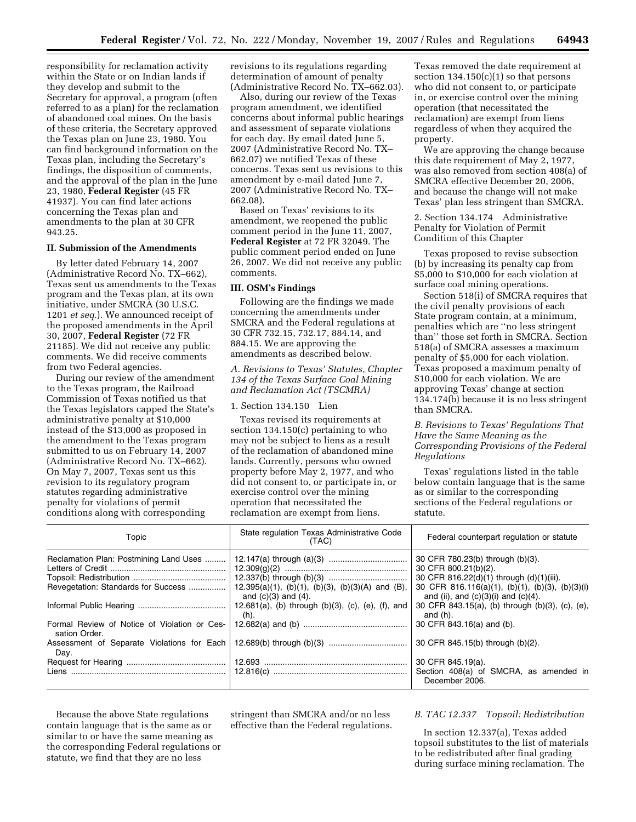responsibility for reclamation activity within the State or on Indian lands if they develop and submit to the Secretary for approval, a program (often referred to as a plan) for the reclamation of abandoned coal mines. On the basis of these criteria, the Secretary approved the Texas plan on June 23, 1980. You can find background information on the Texas plan, including the Secretary's findings, the disposition of comments, and the approval of the plan in the June 23, 1980, **Federal Register** (45 FR 41937). You can find later actions concerning the Texas plan and amendments to the plan at 30 CFR 943.25.

# **II. Submission of the Amendments**

By letter dated February 14, 2007 (Administrative Record No. TX–662), Texas sent us amendments to the Texas program and the Texas plan, at its own initiative, under SMCRA (30 U.S.C. 1201 *et seq.*). We announced receipt of the proposed amendments in the April 30, 2007, **Federal Register** (72 FR 21185). We did not receive any public comments. We did receive comments from two Federal agencies.

During our review of the amendment to the Texas program, the Railroad Commission of Texas notified us that the Texas legislators capped the State's administrative penalty at \$10,000 instead of the \$13,000 as proposed in the amendment to the Texas program submitted to us on February 14, 2007 (Administrative Record No. TX–662). On May 7, 2007, Texas sent us this revision to its regulatory program statutes regarding administrative penalty for violations of permit conditions along with corresponding

revisions to its regulations regarding determination of amount of penalty (Administrative Record No. TX–662.03).

Also, during our review of the Texas program amendment, we identified concerns about informal public hearings and assessment of separate violations for each day. By email dated June 5, 2007 (Administrative Record No. TX– 662.07) we notified Texas of these concerns. Texas sent us revisions to this amendment by e-mail dated June 7, 2007 (Administrative Record No. TX– 662.08).

Based on Texas' revisions to its amendment, we reopened the public comment period in the June 11, 2007, **Federal Register** at 72 FR 32049. The public comment period ended on June 26, 2007. We did not receive any public comments.

### **III. OSM's Findings**

Following are the findings we made concerning the amendments under SMCRA and the Federal regulations at 30 CFR 732.15, 732.17, 884.14, and 884.15. We are approving the amendments as described below.

*A. Revisions to Texas' Statutes, Chapter 134 of the Texas Surface Coal Mining and Reclamation Act (TSCMRA)* 

1. Section 134.150 Lien

Texas revised its requirements at section 134.150(c) pertaining to who may not be subject to liens as a result of the reclamation of abandoned mine lands. Currently, persons who owned property before May 2, 1977, and who did not consent to, or participate in, or exercise control over the mining operation that necessitated the reclamation are exempt from liens.

Texas removed the date requirement at section  $134.150(c)(1)$  so that persons who did not consent to, or participate in, or exercise control over the mining operation (that necessitated the reclamation) are exempt from liens regardless of when they acquired the property.

We are approving the change because this date requirement of May 2, 1977, was also removed from section 408(a) of SMCRA effective December 20, 2006, and because the change will not make Texas' plan less stringent than SMCRA.

2. Section 134.174 Administrative Penalty for Violation of Permit Condition of this Chapter

Texas proposed to revise subsection (b) by increasing its penalty cap from \$5,000 to \$10,000 for each violation at surface coal mining operations.

Section 518(i) of SMCRA requires that the civil penalty provisions of each State program contain, at a minimum, penalties which are ''no less stringent than'' those set forth in SMCRA. Section 518(a) of SMCRA assesses a maximum penalty of \$5,000 for each violation. Texas proposed a maximum penalty of \$10,000 for each violation. We are approving Texas' change at section 134.174(b) because it is no less stringent than SMCRA.

### *B. Revisions to Texas' Regulations That Have the Same Meaning as the Corresponding Provisions of the Federal Regulations*

Texas' regulations listed in the table below contain language that is the same as or similar to the corresponding sections of the Federal regulations or statute.

| Topic                                                                         | State regulation Texas Administrative Code<br>(TAC)                             | Federal counterpart regulation or statute                                                                                                                                                           |  |  |  |
|-------------------------------------------------------------------------------|---------------------------------------------------------------------------------|-----------------------------------------------------------------------------------------------------------------------------------------------------------------------------------------------------|--|--|--|
| Reclamation Plan: Postmining Land Uses<br>Revegetation: Standards for Success | $12.395(a)(1)$ , (b)(1), (b)(3), (b)(3)(A) and (B),<br>and $(c)(3)$ and $(4)$ . | 30 CFR 780.23(b) through (b)(3).<br>30 CFR 800.21(b)(2).<br>30 CFR 816.22(d)(1) through (d)(1)(iii).<br>30 CFR 816.116(a)(1), (b)(1), (b)(3), (b)(3)(i)<br>and (ii), and $(c)(3)(i)$ and $(c)(4)$ . |  |  |  |
|                                                                               | 12.681(a), (b) through $(b)(3)$ , $(c)$ , $(e)$ , $(f)$ , and<br>(h).           | 30 CFR 843.15(a), (b) through (b)(3), (c), (e),<br>and $(h)$ .                                                                                                                                      |  |  |  |
| Formal Review of Notice of Violation or Ces-<br>sation Order.                 |                                                                                 | 30 CFR 843.16(a) and (b).                                                                                                                                                                           |  |  |  |
| Assessment of Separate Violations for Each<br>Day.                            |                                                                                 | 30 CFR 845.15(b) through (b)(2).                                                                                                                                                                    |  |  |  |
|                                                                               |                                                                                 | 30 CFR 845.19(a).<br>Section 408(a) of SMCRA, as amended in<br>December 2006.                                                                                                                       |  |  |  |

Because the above State regulations contain language that is the same as or similar to or have the same meaning as the corresponding Federal regulations or statute, we find that they are no less

stringent than SMCRA and/or no less effective than the Federal regulations.

#### *B. TAC 12.337 Topsoil: Redistribution*

In section 12.337(a), Texas added topsoil substitutes to the list of materials to be redistributed after final grading during surface mining reclamation. The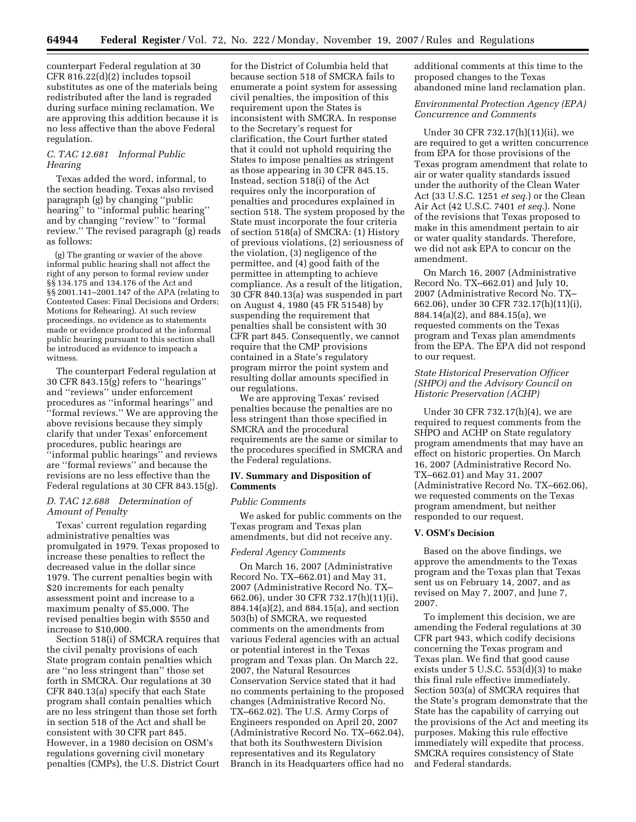counterpart Federal regulation at 30 CFR 816.22(d)(2) includes topsoil substitutes as one of the materials being redistributed after the land is regraded during surface mining reclamation. We are approving this addition because it is no less affective than the above Federal regulation.

### *C. TAC 12.681 Informal Public Hearing*

Texas added the word, informal, to the section heading. Texas also revised paragraph (g) by changing ''public hearing'' to ''informal public hearing'' and by changing ''review'' to ''formal review.'' The revised paragraph (g) reads as follows:

(g) The granting or wavier of the above informal public hearing shall not affect the right of any person to formal review under §§ 134.175 and 134.176 of the Act and §§ 2001.141–2001.147 of the APA (relating to Contested Cases: Final Decisions and Orders; Motions for Rehearing). At such review proceedings, no evidence as to statements made or evidence produced at the informal public hearing pursuant to this section shall be introduced as evidence to impeach a witness.

The counterpart Federal regulation at 30 CFR 843.15(g) refers to ''hearings'' and ''reviews'' under enforcement procedures as ''informal hearings'' and ''formal reviews.'' We are approving the above revisions because they simply clarify that under Texas' enforcement procedures, public hearings are ''informal public hearings'' and reviews are ''formal reviews'' and because the revisions are no less effective than the Federal regulations at 30 CFR 843.15(g).

### *D. TAC 12.688 Determination of Amount of Penalty*

Texas' current regulation regarding administrative penalties was promulgated in 1979. Texas proposed to increase these penalties to reflect the decreased value in the dollar since 1979. The current penalties begin with \$20 increments for each penalty assessment point and increase to a maximum penalty of \$5,000. The revised penalties begin with \$550 and increase to \$10,000.

Section 518(i) of SMCRA requires that the civil penalty provisions of each State program contain penalties which are ''no less stringent than'' those set forth in SMCRA. Our regulations at 30 CFR 840.13(a) specify that each State program shall contain penalties which are no less stringent than those set forth in section 518 of the Act and shall be consistent with 30 CFR part 845. However, in a 1980 decision on OSM's regulations governing civil monetary penalties (CMPs), the U.S. District Court

for the District of Columbia held that because section 518 of SMCRA fails to enumerate a point system for assessing civil penalties, the imposition of this requirement upon the States is inconsistent with SMCRA. In response to the Secretary's request for clarification, the Court further stated that it could not uphold requiring the States to impose penalties as stringent as those appearing in 30 CFR 845.15. Instead, section 518(i) of the Act requires only the incorporation of penalties and procedures explained in section 518. The system proposed by the State must incorporate the four criteria of section 518(a) of SMCRA: (1) History of previous violations, (2) seriousness of the violation, (3) negligence of the permittee, and (4) good faith of the permittee in attempting to achieve compliance. As a result of the litigation, 30 CFR 840.13(a) was suspended in part on August 4, 1980 (45 FR 51548) by suspending the requirement that penalties shall be consistent with 30 CFR part 845. Consequently, we cannot require that the CMP provisions contained in a State's regulatory program mirror the point system and resulting dollar amounts specified in our regulations.

We are approving Texas' revised penalties because the penalties are no less stringent than those specified in SMCRA and the procedural requirements are the same or similar to the procedures specified in SMCRA and the Federal regulations.

### **IV. Summary and Disposition of Comments**

#### *Public Comments*

We asked for public comments on the Texas program and Texas plan amendments, but did not receive any.

#### *Federal Agency Comments*

On March 16, 2007 (Administrative Record No. TX–662.01) and May 31, 2007 (Administrative Record No. TX– 662.06), under 30 CFR 732.17(h)(11)(i), 884.14(a)(2), and 884.15(a), and section 503(b) of SMCRA, we requested comments on the amendments from various Federal agencies with an actual or potential interest in the Texas program and Texas plan. On March 22, 2007, the Natural Resources Conservation Service stated that it had no comments pertaining to the proposed changes (Administrative Record No. TX–662.02). The U.S. Army Corps of Engineers responded on April 20, 2007 (Administrative Record No. TX–662.04), that both its Southwestern Division representatives and its Regulatory Branch in its Headquarters office had no additional comments at this time to the proposed changes to the Texas abandoned mine land reclamation plan.

### *Environmental Protection Agency (EPA) Concurrence and Comments*

Under 30 CFR 732.17(h)(11)(ii), we are required to get a written concurrence from EPA for those provisions of the Texas program amendment that relate to air or water quality standards issued under the authority of the Clean Water Act (33 U.S.C. 1251 *et seq.*) or the Clean Air Act (42 U.S.C. 7401 *et seq.*). None of the revisions that Texas proposed to make in this amendment pertain to air or water quality standards. Therefore, we did not ask EPA to concur on the amendment.

On March 16, 2007 (Administrative Record No. TX–662.01) and July 10, 2007 (Administrative Record No. TX– 662.06), under 30 CFR 732.17(h)(11)(i), 884.14(a)(2), and 884.15(a), we requested comments on the Texas program and Texas plan amendments from the EPA. The EPA did not respond to our request.

## *State Historical Preservation Officer (SHPO) and the Advisory Council on Historic Preservation (ACHP)*

Under 30 CFR 732.17(h)(4), we are required to request comments from the SHPO and ACHP on State regulatory program amendments that may have an effect on historic properties. On March 16, 2007 (Administrative Record No. TX–662.01) and May 31, 2007 (Administrative Record No. TX–662.06), we requested comments on the Texas program amendment, but neither responded to our request.

#### **V. OSM's Decision**

Based on the above findings, we approve the amendments to the Texas program and the Texas plan that Texas sent us on February 14, 2007, and as revised on May 7, 2007, and June 7, 2007.

To implement this decision, we are amending the Federal regulations at 30 CFR part 943, which codify decisions concerning the Texas program and Texas plan. We find that good cause exists under 5 U.S.C. 553(d)(3) to make this final rule effective immediately. Section 503(a) of SMCRA requires that the State's program demonstrate that the State has the capability of carrying out the provisions of the Act and meeting its purposes. Making this rule effective immediately will expedite that process. SMCRA requires consistency of State and Federal standards.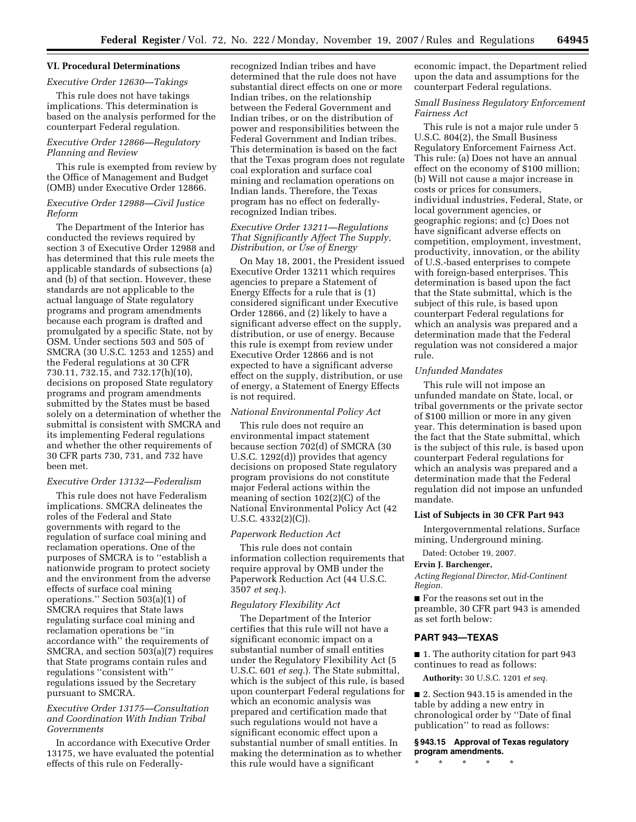### **VI. Procedural Determinations**

### *Executive Order 12630—Takings*

This rule does not have takings implications. This determination is based on the analysis performed for the counterpart Federal regulation.

### *Executive Order 12866—Regulatory Planning and Review*

This rule is exempted from review by the Office of Management and Budget (OMB) under Executive Order 12866.

### *Executive Order 12988—Civil Justice Reform*

The Department of the Interior has conducted the reviews required by section 3 of Executive Order 12988 and has determined that this rule meets the applicable standards of subsections (a) and (b) of that section. However, these standards are not applicable to the actual language of State regulatory programs and program amendments because each program is drafted and promulgated by a specific State, not by OSM. Under sections 503 and 505 of SMCRA (30 U.S.C. 1253 and 1255) and the Federal regulations at 30 CFR 730.11, 732.15, and 732.17(h)(10), decisions on proposed State regulatory programs and program amendments submitted by the States must be based solely on a determination of whether the submittal is consistent with SMCRA and its implementing Federal regulations and whether the other requirements of 30 CFR parts 730, 731, and 732 have been met.

#### *Executive Order 13132—Federalism*

This rule does not have Federalism implications. SMCRA delineates the roles of the Federal and State governments with regard to the regulation of surface coal mining and reclamation operations. One of the purposes of SMCRA is to ''establish a nationwide program to protect society and the environment from the adverse effects of surface coal mining operations.'' Section 503(a)(1) of SMCRA requires that State laws regulating surface coal mining and reclamation operations be ''in accordance with'' the requirements of SMCRA, and section 503(a)(7) requires that State programs contain rules and regulations ''consistent with'' regulations issued by the Secretary pursuant to SMCRA.

# *Executive Order 13175—Consultation and Coordination With Indian Tribal Governments*

In accordance with Executive Order 13175, we have evaluated the potential effects of this rule on Federally-

recognized Indian tribes and have determined that the rule does not have substantial direct effects on one or more Indian tribes, on the relationship between the Federal Government and Indian tribes, or on the distribution of power and responsibilities between the Federal Government and Indian tribes. This determination is based on the fact that the Texas program does not regulate coal exploration and surface coal mining and reclamation operations on Indian lands. Therefore, the Texas program has no effect on federallyrecognized Indian tribes.

### *Executive Order 13211—Regulations That Significantly Affect The Supply, Distribution, or Use of Energy*

On May 18, 2001, the President issued Executive Order 13211 which requires agencies to prepare a Statement of Energy Effects for a rule that is (1) considered significant under Executive Order 12866, and (2) likely to have a significant adverse effect on the supply, distribution, or use of energy. Because this rule is exempt from review under Executive Order 12866 and is not expected to have a significant adverse effect on the supply, distribution, or use of energy, a Statement of Energy Effects is not required.

#### *National Environmental Policy Act*

This rule does not require an environmental impact statement because section 702(d) of SMCRA (30 U.S.C. 1292(d)) provides that agency decisions on proposed State regulatory program provisions do not constitute major Federal actions within the meaning of section 102(2)(C) of the National Environmental Policy Act (42 U.S.C. 4332(2)(C)).

#### *Paperwork Reduction Act*

This rule does not contain information collection requirements that require approval by OMB under the Paperwork Reduction Act (44 U.S.C. 3507 *et seq.*).

#### *Regulatory Flexibility Act*

The Department of the Interior certifies that this rule will not have a significant economic impact on a substantial number of small entities under the Regulatory Flexibility Act (5 U.S.C. 601 *et seq.*). The State submittal, which is the subject of this rule, is based upon counterpart Federal regulations for which an economic analysis was prepared and certification made that such regulations would not have a significant economic effect upon a substantial number of small entities. In making the determination as to whether this rule would have a significant

economic impact, the Department relied upon the data and assumptions for the counterpart Federal regulations.

### *Small Business Regulatory Enforcement Fairness Act*

This rule is not a major rule under 5 U.S.C. 804(2), the Small Business Regulatory Enforcement Fairness Act. This rule: (a) Does not have an annual effect on the economy of \$100 million; (b) Will not cause a major increase in costs or prices for consumers, individual industries, Federal, State, or local government agencies, or geographic regions; and (c) Does not have significant adverse effects on competition, employment, investment, productivity, innovation, or the ability of U.S.-based enterprises to compete with foreign-based enterprises. This determination is based upon the fact that the State submittal, which is the subject of this rule, is based upon counterpart Federal regulations for which an analysis was prepared and a determination made that the Federal regulation was not considered a major rule.

### *Unfunded Mandates*

This rule will not impose an unfunded mandate on State, local, or tribal governments or the private sector of \$100 million or more in any given year. This determination is based upon the fact that the State submittal, which is the subject of this rule, is based upon counterpart Federal regulations for which an analysis was prepared and a determination made that the Federal regulation did not impose an unfunded mandate.

#### **List of Subjects in 30 CFR Part 943**

Intergovernmental relations, Surface mining, Underground mining.

Dated: October 19, 2007.

#### **Ervin J. Barchenger,**

*Acting Regional Director, Mid-Continent Region.* 

■ For the reasons set out in the preamble, 30 CFR part 943 is amended as set forth below:

#### **PART 943—TEXAS**

■ 1. The authority citation for part 943 continues to read as follows:

**Authority:** 30 U.S.C. 1201 *et seq.* 

■ 2. Section 943.15 is amended in the table by adding a new entry in chronological order by ''Date of final publication'' to read as follows:

**§ 943.15 Approval of Texas regulatory program amendments.** 

\* \* \* \* \*